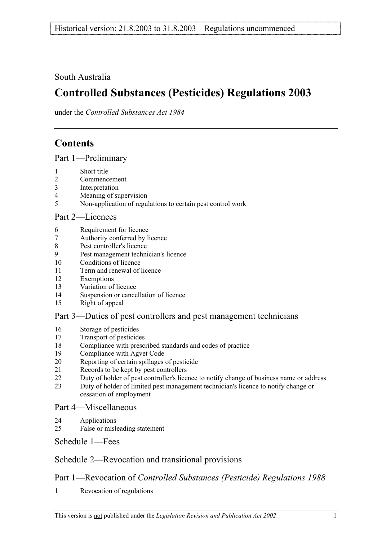South Australia

# **Controlled Substances (Pesticides) Regulations 2003**

under the *Controlled Substances Act 1984*

# **Contents**

Part 1—Preliminary

- 1 Short title
- 2 Commencement
- 3 Interpretation
- 4 Meaning of supervision
- 5 Non-application of regulations to certain pest control work

## Part 2—Licences

- 6 Requirement for licence
- 7 Authority conferred by licence
- 8 Pest controller's licence
- 9 Pest management technician's licence
- 10 Conditions of licence
- 11 Term and renewal of licence
- 12 Exemptions
- 13 Variation of licence
- 14 Suspension or cancellation of licence
- 15 Right of appeal

## Part 3—Duties of pest controllers and pest management technicians

- 16 Storage of pesticides
- 17 Transport of pesticides
- 18 Compliance with prescribed standards and codes of practice
- 19 Compliance with Agvet Code
- 20 Reporting of certain spillages of pesticide
- 21 Records to be kept by pest controllers
- 22 Duty of holder of pest controller's licence to notify change of business name or address
- 23 Duty of holder of limited pest management technician's licence to notify change or cessation of employment

## Part 4—Miscellaneous

- 24 Applications
- 25 False or misleading statement

## Schedule 1—Fees

## Schedule 2—Revocation and transitional provisions

## Part 1—Revocation of *Controlled Substances (Pesticide) Regulations 1988*

1 Revocation of regulations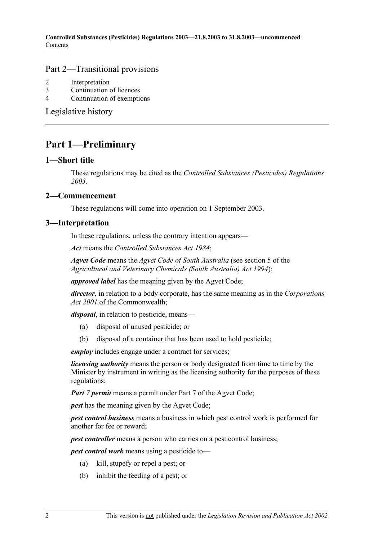### Part 2—Transitional provisions

- 2 Interpretation
- 3 Continuation of licences
- 4 Continuation of exemptions

Legislative history

## **Part 1—Preliminary**

#### **1—Short title**

These regulations may be cited as the *Controlled Substances (Pesticides) Regulations 2003*.

### **2—Commencement**

These regulations will come into operation on 1 September 2003.

#### **3—Interpretation**

In these regulations, unless the contrary intention appears—

*Act* means the *Controlled Substances Act 1984*;

*Agvet Code* means the *Agvet Code of South Australia* (see section 5 of the *Agricultural and Veterinary Chemicals (South Australia) Act 1994*);

*approved label* has the meaning given by the Agvet Code;

*director*, in relation to a body corporate, has the same meaning as in the *Corporations Act 2001* of the Commonwealth;

*disposal*, in relation to pesticide, means—

- (a) disposal of unused pesticide; or
- (b) disposal of a container that has been used to hold pesticide;

*employ* includes engage under a contract for services;

*licensing authority* means the person or body designated from time to time by the Minister by instrument in writing as the licensing authority for the purposes of these regulations;

*Part 7 permit* means a permit under Part 7 of the Agvet Code;

*pest* has the meaning given by the Agvet Code;

*pest control business* means a business in which pest control work is performed for another for fee or reward;

*pest controller* means a person who carries on a pest control business;

*pest control work* means using a pesticide to—

- (a) kill, stupefy or repel a pest; or
- (b) inhibit the feeding of a pest; or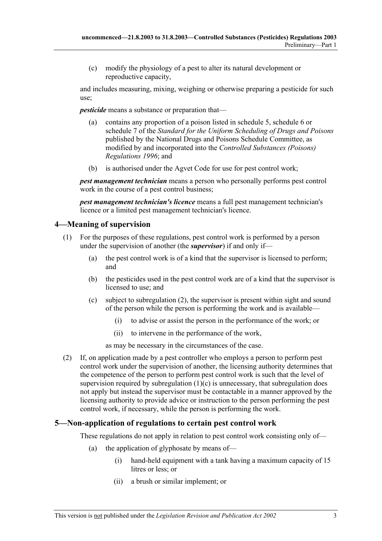(c) modify the physiology of a pest to alter its natural development or reproductive capacity,

and includes measuring, mixing, weighing or otherwise preparing a pesticide for such use;

*pesticide* means a substance or preparation that—

- (a) contains any proportion of a poison listed in schedule 5, schedule 6 or schedule 7 of the *Standard for the Uniform Scheduling of Drugs and Poisons* published by the National Drugs and Poisons Schedule Committee, as modified by and incorporated into the *Controlled Substances (Poisons) Regulations 1996*; and
- (b) is authorised under the Agvet Code for use for pest control work;

*pest management technician* means a person who personally performs pest control work in the course of a pest control business;

*pest management technician's licence* means a full pest management technician's licence or a limited pest management technician's licence.

## **4—Meaning of supervision**

- (1) For the purposes of these regulations, pest control work is performed by a person under the supervision of another (the *supervisor*) if and only if—
	- (a) the pest control work is of a kind that the supervisor is licensed to perform; and
	- (b) the pesticides used in the pest control work are of a kind that the supervisor is licensed to use; and
	- (c) subject to subregulation (2), the supervisor is present within sight and sound of the person while the person is performing the work and is available—
		- (i) to advise or assist the person in the performance of the work; or
		- (ii) to intervene in the performance of the work,

as may be necessary in the circumstances of the case.

 (2) If, on application made by a pest controller who employs a person to perform pest control work under the supervision of another, the licensing authority determines that the competence of the person to perform pest control work is such that the level of supervision required by subregulation  $(1)(c)$  is unnecessary, that subregulation does not apply but instead the supervisor must be contactable in a manner approved by the licensing authority to provide advice or instruction to the person performing the pest control work, if necessary, while the person is performing the work.

## **5—Non-application of regulations to certain pest control work**

These regulations do not apply in relation to pest control work consisting only of—

- (a) the application of glyphosate by means of—
	- (i) hand-held equipment with a tank having a maximum capacity of 15 litres or less; or
	- (ii) a brush or similar implement; or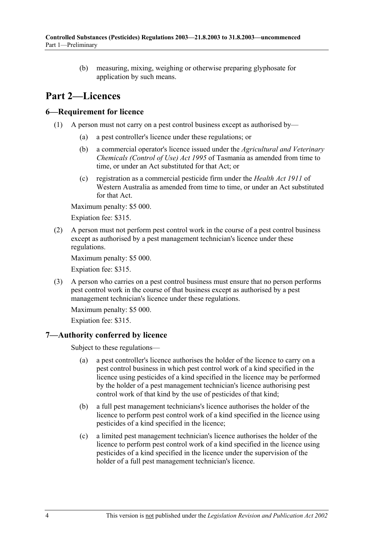(b) measuring, mixing, weighing or otherwise preparing glyphosate for application by such means.

## **Part 2—Licences**

### **6—Requirement for licence**

- (1) A person must not carry on a pest control business except as authorised by—
	- (a) a pest controller's licence under these regulations; or
	- (b) a commercial operator's licence issued under the *Agricultural and Veterinary Chemicals (Control of Use) Act 1995* of Tasmania as amended from time to time, or under an Act substituted for that Act; or
	- (c) registration as a commercial pesticide firm under the *Health Act 1911* of Western Australia as amended from time to time, or under an Act substituted for that Act.

Maximum penalty: \$5 000.

Expiation fee: \$315.

 (2) A person must not perform pest control work in the course of a pest control business except as authorised by a pest management technician's licence under these regulations.

Maximum penalty: \$5 000.

Expiation fee: \$315.

 (3) A person who carries on a pest control business must ensure that no person performs pest control work in the course of that business except as authorised by a pest management technician's licence under these regulations.

Maximum penalty: \$5 000.

Expiation fee: \$315.

### **7—Authority conferred by licence**

Subject to these regulations—

- (a) a pest controller's licence authorises the holder of the licence to carry on a pest control business in which pest control work of a kind specified in the licence using pesticides of a kind specified in the licence may be performed by the holder of a pest management technician's licence authorising pest control work of that kind by the use of pesticides of that kind;
- (b) a full pest management technicians's licence authorises the holder of the licence to perform pest control work of a kind specified in the licence using pesticides of a kind specified in the licence;
- (c) a limited pest management technician's licence authorises the holder of the licence to perform pest control work of a kind specified in the licence using pesticides of a kind specified in the licence under the supervision of the holder of a full pest management technician's licence.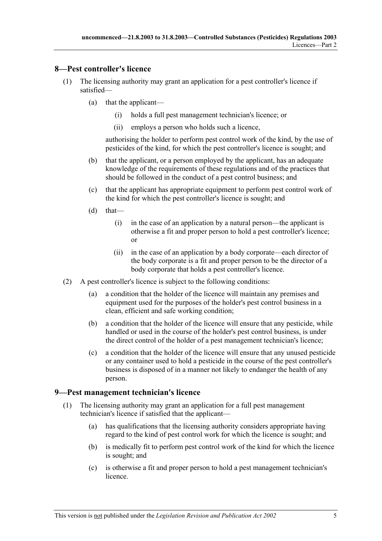### **8—Pest controller's licence**

- (1) The licensing authority may grant an application for a pest controller's licence if satisfied—
	- (a) that the applicant—
		- (i) holds a full pest management technician's licence; or
		- (ii) employs a person who holds such a licence,

authorising the holder to perform pest control work of the kind, by the use of pesticides of the kind, for which the pest controller's licence is sought; and

- (b) that the applicant, or a person employed by the applicant, has an adequate knowledge of the requirements of these regulations and of the practices that should be followed in the conduct of a pest control business; and
- (c) that the applicant has appropriate equipment to perform pest control work of the kind for which the pest controller's licence is sought; and
- $(d)$  that—
	- (i) in the case of an application by a natural person—the applicant is otherwise a fit and proper person to hold a pest controller's licence; or
	- (ii) in the case of an application by a body corporate—each director of the body corporate is a fit and proper person to be the director of a body corporate that holds a pest controller's licence.
- (2) A pest controller's licence is subject to the following conditions:
	- (a) a condition that the holder of the licence will maintain any premises and equipment used for the purposes of the holder's pest control business in a clean, efficient and safe working condition;
	- (b) a condition that the holder of the licence will ensure that any pesticide, while handled or used in the course of the holder's pest control business, is under the direct control of the holder of a pest management technician's licence;
	- (c) a condition that the holder of the licence will ensure that any unused pesticide or any container used to hold a pesticide in the course of the pest controller's business is disposed of in a manner not likely to endanger the health of any person.

### **9—Pest management technician's licence**

- (1) The licensing authority may grant an application for a full pest management technician's licence if satisfied that the applicant—
	- (a) has qualifications that the licensing authority considers appropriate having regard to the kind of pest control work for which the licence is sought; and
	- (b) is medically fit to perform pest control work of the kind for which the licence is sought; and
	- (c) is otherwise a fit and proper person to hold a pest management technician's licence.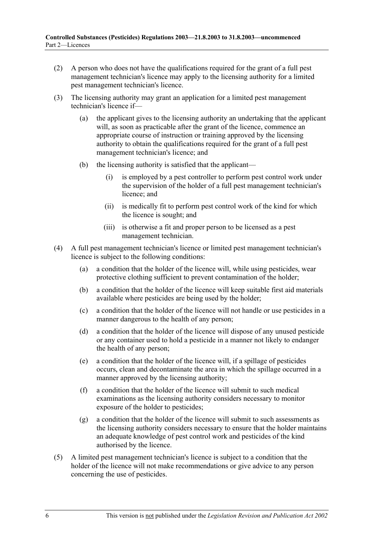- (2) A person who does not have the qualifications required for the grant of a full pest management technician's licence may apply to the licensing authority for a limited pest management technician's licence.
- (3) The licensing authority may grant an application for a limited pest management technician's licence if—
	- (a) the applicant gives to the licensing authority an undertaking that the applicant will, as soon as practicable after the grant of the licence, commence an appropriate course of instruction or training approved by the licensing authority to obtain the qualifications required for the grant of a full pest management technician's licence; and
	- (b) the licensing authority is satisfied that the applicant—
		- (i) is employed by a pest controller to perform pest control work under the supervision of the holder of a full pest management technician's licence; and
		- (ii) is medically fit to perform pest control work of the kind for which the licence is sought; and
		- (iii) is otherwise a fit and proper person to be licensed as a pest management technician.
- (4) A full pest management technician's licence or limited pest management technician's licence is subject to the following conditions:
	- (a) a condition that the holder of the licence will, while using pesticides, wear protective clothing sufficient to prevent contamination of the holder;
	- (b) a condition that the holder of the licence will keep suitable first aid materials available where pesticides are being used by the holder;
	- (c) a condition that the holder of the licence will not handle or use pesticides in a manner dangerous to the health of any person;
	- (d) a condition that the holder of the licence will dispose of any unused pesticide or any container used to hold a pesticide in a manner not likely to endanger the health of any person;
	- (e) a condition that the holder of the licence will, if a spillage of pesticides occurs, clean and decontaminate the area in which the spillage occurred in a manner approved by the licensing authority;
	- (f) a condition that the holder of the licence will submit to such medical examinations as the licensing authority considers necessary to monitor exposure of the holder to pesticides;
	- (g) a condition that the holder of the licence will submit to such assessments as the licensing authority considers necessary to ensure that the holder maintains an adequate knowledge of pest control work and pesticides of the kind authorised by the licence.
- (5) A limited pest management technician's licence is subject to a condition that the holder of the licence will not make recommendations or give advice to any person concerning the use of pesticides.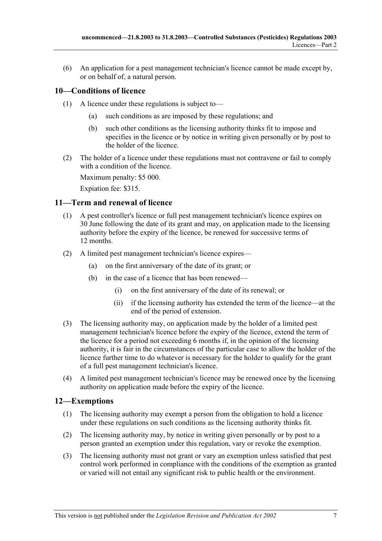(6) An application for a pest management technician's licence cannot be made except by, or on behalf of, a natural person.

## **10—Conditions of licence**

- (1) A licence under these regulations is subject to—
	- (a) such conditions as are imposed by these regulations; and
	- (b) such other conditions as the licensing authority thinks fit to impose and specifies in the licence or by notice in writing given personally or by post to the holder of the licence.
- (2) The holder of a licence under these regulations must not contravene or fail to comply with a condition of the licence.

Maximum penalty: \$5 000.

Expiation fee: \$315.

### **11—Term and renewal of licence**

- (1) A pest controller's licence or full pest management technician's licence expires on 30 June following the date of its grant and may, on application made to the licensing authority before the expiry of the licence, be renewed for successive terms of 12 months.
- (2) A limited pest management technician's licence expires—
	- (a) on the first anniversary of the date of its grant; or
	- (b) in the case of a licence that has been renewed—
		- (i) on the first anniversary of the date of its renewal; or
		- (ii) if the licensing authority has extended the term of the licence—at the end of the period of extension.
- (3) The licensing authority may, on application made by the holder of a limited pest management technician's licence before the expiry of the licence, extend the term of the licence for a period not exceeding 6 months if, in the opinion of the licensing authority, it is fair in the circumstances of the particular case to allow the holder of the licence further time to do whatever is necessary for the holder to qualify for the grant of a full pest management technician's licence.
- (4) A limited pest management technician's licence may be renewed once by the licensing authority on application made before the expiry of the licence.

## **12—Exemptions**

- (1) The licensing authority may exempt a person from the obligation to hold a licence under these regulations on such conditions as the licensing authority thinks fit.
- (2) The licensing authority may, by notice in writing given personally or by post to a person granted an exemption under this regulation, vary or revoke the exemption.
- (3) The licensing authority must not grant or vary an exemption unless satisfied that pest control work performed in compliance with the conditions of the exemption as granted or varied will not entail any significant risk to public health or the environment.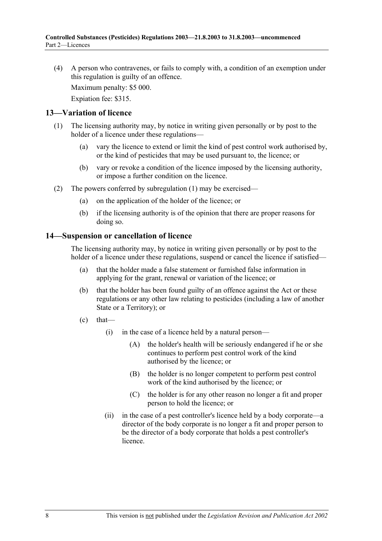(4) A person who contravenes, or fails to comply with, a condition of an exemption under this regulation is guilty of an offence.

Maximum penalty: \$5 000.

Expiation fee: \$315.

#### **13—Variation of licence**

- (1) The licensing authority may, by notice in writing given personally or by post to the holder of a licence under these regulations—
	- (a) vary the licence to extend or limit the kind of pest control work authorised by, or the kind of pesticides that may be used pursuant to, the licence; or
	- (b) vary or revoke a condition of the licence imposed by the licensing authority, or impose a further condition on the licence.
- (2) The powers conferred by subregulation (1) may be exercised—
	- (a) on the application of the holder of the licence; or
	- (b) if the licensing authority is of the opinion that there are proper reasons for doing so.

#### **14—Suspension or cancellation of licence**

The licensing authority may, by notice in writing given personally or by post to the holder of a licence under these regulations, suspend or cancel the licence if satisfied—

- (a) that the holder made a false statement or furnished false information in applying for the grant, renewal or variation of the licence; or
- (b) that the holder has been found guilty of an offence against the Act or these regulations or any other law relating to pesticides (including a law of another State or a Territory); or
- $\text{(c)}$  that—
	- (i) in the case of a licence held by a natural person—
		- (A) the holder's health will be seriously endangered if he or she continues to perform pest control work of the kind authorised by the licence; or
		- (B) the holder is no longer competent to perform pest control work of the kind authorised by the licence; or
		- (C) the holder is for any other reason no longer a fit and proper person to hold the licence; or
	- (ii) in the case of a pest controller's licence held by a body corporate—a director of the body corporate is no longer a fit and proper person to be the director of a body corporate that holds a pest controller's licence.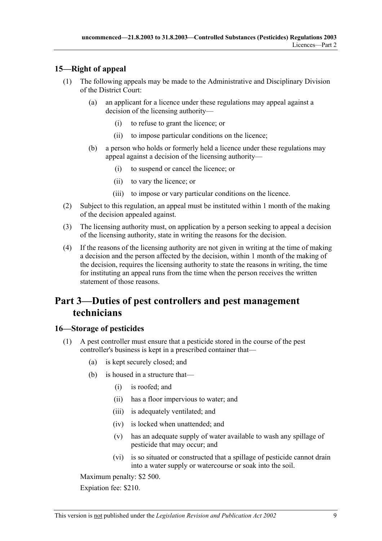## **15—Right of appeal**

- (1) The following appeals may be made to the Administrative and Disciplinary Division of the District Court:
	- (a) an applicant for a licence under these regulations may appeal against a decision of the licensing authority—
		- (i) to refuse to grant the licence; or
		- (ii) to impose particular conditions on the licence;
	- (b) a person who holds or formerly held a licence under these regulations may appeal against a decision of the licensing authority—
		- (i) to suspend or cancel the licence; or
		- (ii) to vary the licence; or
		- (iii) to impose or vary particular conditions on the licence.
- (2) Subject to this regulation, an appeal must be instituted within 1 month of the making of the decision appealed against.
- (3) The licensing authority must, on application by a person seeking to appeal a decision of the licensing authority, state in writing the reasons for the decision.
- (4) If the reasons of the licensing authority are not given in writing at the time of making a decision and the person affected by the decision, within 1 month of the making of the decision, requires the licensing authority to state the reasons in writing, the time for instituting an appeal runs from the time when the person receives the written statement of those reasons.

## **Part 3—Duties of pest controllers and pest management technicians**

## **16—Storage of pesticides**

- (1) A pest controller must ensure that a pesticide stored in the course of the pest controller's business is kept in a prescribed container that—
	- (a) is kept securely closed; and
	- (b) is housed in a structure that—
		- (i) is roofed; and
		- (ii) has a floor impervious to water; and
		- (iii) is adequately ventilated; and
		- (iv) is locked when unattended; and
		- (v) has an adequate supply of water available to wash any spillage of pesticide that may occur; and
		- (vi) is so situated or constructed that a spillage of pesticide cannot drain into a water supply or watercourse or soak into the soil.

Maximum penalty: \$2 500.

Expiation fee: \$210.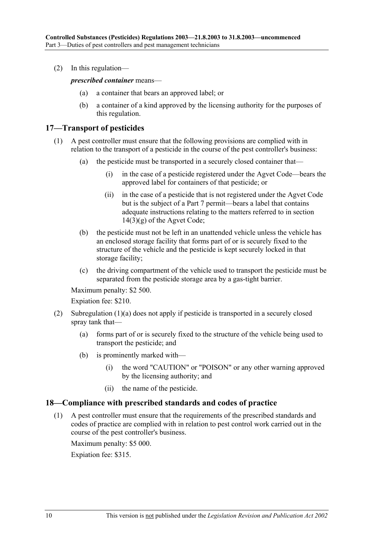(2) In this regulation—

*prescribed container* means—

- (a) a container that bears an approved label; or
- (b) a container of a kind approved by the licensing authority for the purposes of this regulation.

### **17—Transport of pesticides**

- (1) A pest controller must ensure that the following provisions are complied with in relation to the transport of a pesticide in the course of the pest controller's business:
	- (a) the pesticide must be transported in a securely closed container that—
		- (i) in the case of a pesticide registered under the Agvet Code—bears the approved label for containers of that pesticide; or
		- (ii) in the case of a pesticide that is not registered under the Agvet Code but is the subject of a Part 7 permit—bears a label that contains adequate instructions relating to the matters referred to in section  $14(3)(g)$  of the Agvet Code;
	- (b) the pesticide must not be left in an unattended vehicle unless the vehicle has an enclosed storage facility that forms part of or is securely fixed to the structure of the vehicle and the pesticide is kept securely locked in that storage facility;
	- (c) the driving compartment of the vehicle used to transport the pesticide must be separated from the pesticide storage area by a gas-tight barrier.

Maximum penalty: \$2 500.

Expiation fee: \$210.

- (2) Subregulation (1)(a) does not apply if pesticide is transported in a securely closed spray tank that—
	- (a) forms part of or is securely fixed to the structure of the vehicle being used to transport the pesticide; and
	- (b) is prominently marked with—
		- (i) the word "CAUTION" or "POISON" or any other warning approved by the licensing authority; and
		- (ii) the name of the pesticide.

#### **18—Compliance with prescribed standards and codes of practice**

 (1) A pest controller must ensure that the requirements of the prescribed standards and codes of practice are complied with in relation to pest control work carried out in the course of the pest controller's business.

Maximum penalty: \$5 000.

Expiation fee: \$315.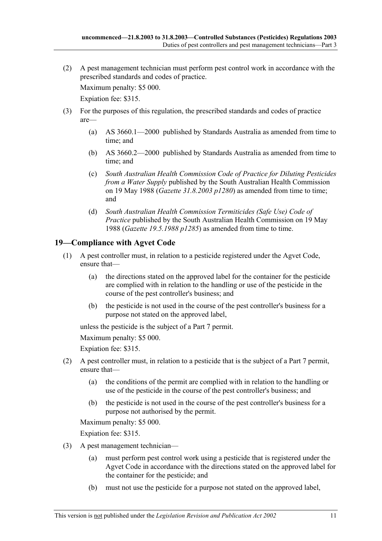(2) A pest management technician must perform pest control work in accordance with the prescribed standards and codes of practice.

Maximum penalty: \$5 000.

Expiation fee: \$315.

- (3) For the purposes of this regulation, the prescribed standards and codes of practice are—
	- (a) AS 3660.1—2000 published by Standards Australia as amended from time to time; and
	- (b) AS 3660.2—2000 published by Standards Australia as amended from time to time; and
	- (c) *South Australian Health Commission Code of Practice for Diluting Pesticides from a Water Supply* published by the South Australian Health Commission on 19 May 1988 (*Gazette 31.8.2003 p1280*) as amended from time to time; and
	- (d) *South Australian Health Commission Termiticides (Safe Use) Code of Practice* published by the South Australian Health Commission on 19 May 1988 (*Gazette 19.5.1988 p1285*) as amended from time to time.

### **19—Compliance with Agvet Code**

- (1) A pest controller must, in relation to a pesticide registered under the Agvet Code, ensure that—
	- (a) the directions stated on the approved label for the container for the pesticide are complied with in relation to the handling or use of the pesticide in the course of the pest controller's business; and
	- (b) the pesticide is not used in the course of the pest controller's business for a purpose not stated on the approved label,

unless the pesticide is the subject of a Part 7 permit.

Maximum penalty: \$5 000.

Expiation fee: \$315.

- (2) A pest controller must, in relation to a pesticide that is the subject of a Part 7 permit, ensure that—
	- (a) the conditions of the permit are complied with in relation to the handling or use of the pesticide in the course of the pest controller's business; and
	- (b) the pesticide is not used in the course of the pest controller's business for a purpose not authorised by the permit.

Maximum penalty: \$5 000.

Expiation fee: \$315.

- (3) A pest management technician—
	- (a) must perform pest control work using a pesticide that is registered under the Agvet Code in accordance with the directions stated on the approved label for the container for the pesticide; and
	- (b) must not use the pesticide for a purpose not stated on the approved label,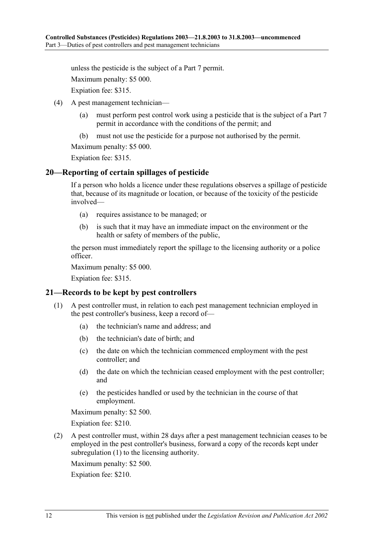unless the pesticide is the subject of a Part 7 permit.

Maximum penalty: \$5 000.

Expiation fee: \$315.

- (4) A pest management technician—
	- (a) must perform pest control work using a pesticide that is the subject of a Part 7 permit in accordance with the conditions of the permit; and
	- (b) must not use the pesticide for a purpose not authorised by the permit.

Maximum penalty: \$5 000.

Expiation fee: \$315.

#### **20—Reporting of certain spillages of pesticide**

If a person who holds a licence under these regulations observes a spillage of pesticide that, because of its magnitude or location, or because of the toxicity of the pesticide involved—

- (a) requires assistance to be managed; or
- (b) is such that it may have an immediate impact on the environment or the health or safety of members of the public,

the person must immediately report the spillage to the licensing authority or a police officer.

Maximum penalty: \$5 000.

Expiation fee: \$315.

#### **21—Records to be kept by pest controllers**

- (1) A pest controller must, in relation to each pest management technician employed in the pest controller's business, keep a record of—
	- (a) the technician's name and address; and
	- (b) the technician's date of birth; and
	- (c) the date on which the technician commenced employment with the pest controller; and
	- (d) the date on which the technician ceased employment with the pest controller; and
	- (e) the pesticides handled or used by the technician in the course of that employment.

Maximum penalty: \$2 500.

Expiation fee: \$210.

 (2) A pest controller must, within 28 days after a pest management technician ceases to be employed in the pest controller's business, forward a copy of the records kept under subregulation (1) to the licensing authority.

Maximum penalty: \$2 500.

Expiation fee: \$210.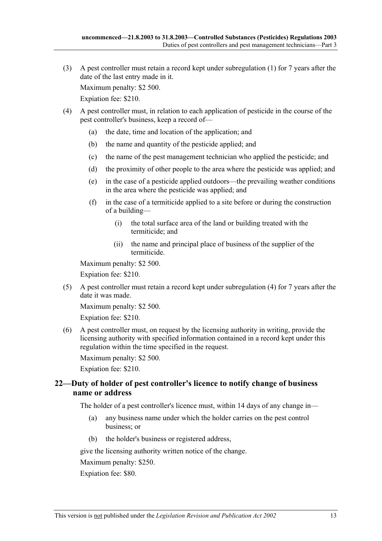(3) A pest controller must retain a record kept under subregulation (1) for 7 years after the date of the last entry made in it.

Maximum penalty: \$2 500.

Expiation fee: \$210.

- (4) A pest controller must, in relation to each application of pesticide in the course of the pest controller's business, keep a record of—
	- (a) the date, time and location of the application; and
	- (b) the name and quantity of the pesticide applied; and
	- (c) the name of the pest management technician who applied the pesticide; and
	- (d) the proximity of other people to the area where the pesticide was applied; and
	- (e) in the case of a pesticide applied outdoors—the prevailing weather conditions in the area where the pesticide was applied; and
	- (f) in the case of a termiticide applied to a site before or during the construction of a building—
		- (i) the total surface area of the land or building treated with the termiticide; and
		- (ii) the name and principal place of business of the supplier of the termiticide.

Maximum penalty: \$2 500.

Expiation fee: \$210.

 (5) A pest controller must retain a record kept under subregulation (4) for 7 years after the date it was made.

Maximum penalty: \$2 500.

Expiation fee: \$210.

 (6) A pest controller must, on request by the licensing authority in writing, provide the licensing authority with specified information contained in a record kept under this regulation within the time specified in the request.

Maximum penalty: \$2 500.

Expiation fee: \$210.

### **22—Duty of holder of pest controller's licence to notify change of business name or address**

The holder of a pest controller's licence must, within 14 days of any change in—

- (a) any business name under which the holder carries on the pest control business; or
- (b) the holder's business or registered address,

give the licensing authority written notice of the change.

Maximum penalty: \$250.

Expiation fee: \$80.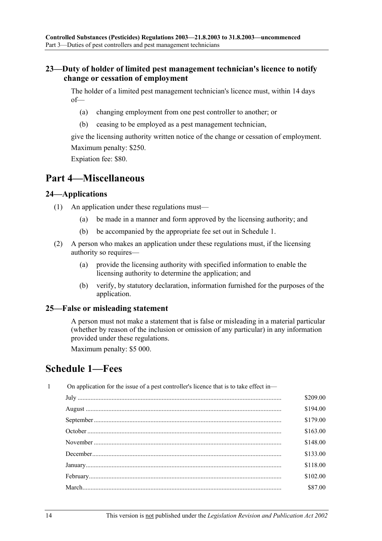### **23—Duty of holder of limited pest management technician's licence to notify change or cessation of employment**

The holder of a limited pest management technician's licence must, within 14 days of—

- (a) changing employment from one pest controller to another; or
- (b) ceasing to be employed as a pest management technician,

give the licensing authority written notice of the change or cessation of employment. Maximum penalty: \$250.

Expiation fee: \$80.

## **Part 4—Miscellaneous**

### **24—Applications**

- (1) An application under these regulations must—
	- (a) be made in a manner and form approved by the licensing authority; and
	- (b) be accompanied by the appropriate fee set out in Schedule 1.
- (2) A person who makes an application under these regulations must, if the licensing authority so requires—
	- (a) provide the licensing authority with specified information to enable the licensing authority to determine the application; and
	- (b) verify, by statutory declaration, information furnished for the purposes of the application.

### **25—False or misleading statement**

A person must not make a statement that is false or misleading in a material particular (whether by reason of the inclusion or omission of any particular) in any information provided under these regulations.

Maximum penalty: \$5 000.

## **Schedule 1—Fees**

| $\mathbf{1}$ | On application for the issue of a pest controller's licence that is to take effect in— |          |  |  |
|--------------|----------------------------------------------------------------------------------------|----------|--|--|
|              |                                                                                        | \$209.00 |  |  |
|              |                                                                                        | \$194.00 |  |  |
|              |                                                                                        | \$179.00 |  |  |
|              |                                                                                        | \$163.00 |  |  |
|              |                                                                                        | \$148.00 |  |  |
|              |                                                                                        | \$133.00 |  |  |
|              |                                                                                        | \$118.00 |  |  |
|              |                                                                                        | \$102.00 |  |  |
|              |                                                                                        | \$87.00  |  |  |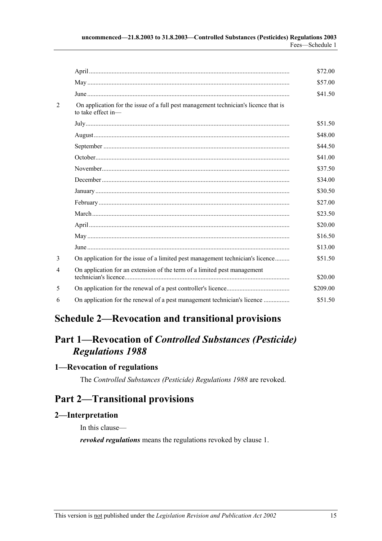|   |                                                                                                           | \$72.00  |
|---|-----------------------------------------------------------------------------------------------------------|----------|
|   |                                                                                                           | \$57.00  |
|   |                                                                                                           | \$41.50  |
| 2 | On application for the issue of a full pest management technician's licence that is<br>to take effect in- |          |
|   |                                                                                                           | \$51.50  |
|   |                                                                                                           | \$48.00  |
|   |                                                                                                           | \$44.50  |
|   |                                                                                                           | \$41.00  |
|   |                                                                                                           | \$37.50  |
|   |                                                                                                           | \$34.00  |
|   |                                                                                                           | \$30.50  |
|   |                                                                                                           | \$27.00  |
|   |                                                                                                           | \$23.50  |
|   |                                                                                                           | \$20.00  |
|   |                                                                                                           | \$16.50  |
|   |                                                                                                           | \$13.00  |
| 3 | On application for the issue of a limited pest management technician's licence                            | \$51.50  |
| 4 | On application for an extension of the term of a limited pest management                                  | \$20.00  |
| 5 |                                                                                                           | \$209.00 |
| 6 | On application for the renewal of a pest management technician's licence                                  | \$51.50  |

# **Schedule 2—Revocation and transitional provisions**

# **Part 1—Revocation of** *Controlled Substances (Pesticide) Regulations 1988*

## **1—Revocation of regulations**

The *Controlled Substances (Pesticide) Regulations 1988* are revoked.

# **Part 2—Transitional provisions**

## **2—Interpretation**

In this clause—

*revoked regulations* means the regulations revoked by clause 1.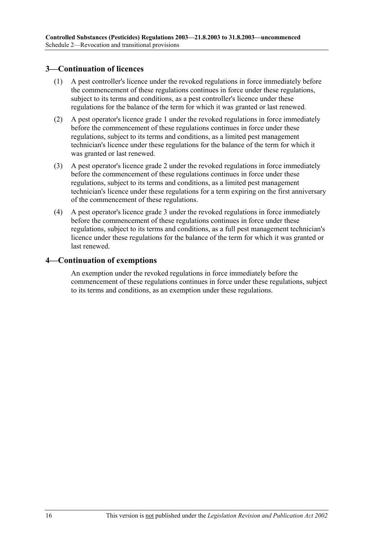### **3—Continuation of licences**

- (1) A pest controller's licence under the revoked regulations in force immediately before the commencement of these regulations continues in force under these regulations, subject to its terms and conditions, as a pest controller's licence under these regulations for the balance of the term for which it was granted or last renewed.
- (2) A pest operator's licence grade 1 under the revoked regulations in force immediately before the commencement of these regulations continues in force under these regulations, subject to its terms and conditions, as a limited pest management technician's licence under these regulations for the balance of the term for which it was granted or last renewed.
- (3) A pest operator's licence grade 2 under the revoked regulations in force immediately before the commencement of these regulations continues in force under these regulations, subject to its terms and conditions, as a limited pest management technician's licence under these regulations for a term expiring on the first anniversary of the commencement of these regulations.
- (4) A pest operator's licence grade 3 under the revoked regulations in force immediately before the commencement of these regulations continues in force under these regulations, subject to its terms and conditions, as a full pest management technician's licence under these regulations for the balance of the term for which it was granted or last renewed.

#### **4—Continuation of exemptions**

An exemption under the revoked regulations in force immediately before the commencement of these regulations continues in force under these regulations, subject to its terms and conditions, as an exemption under these regulations.